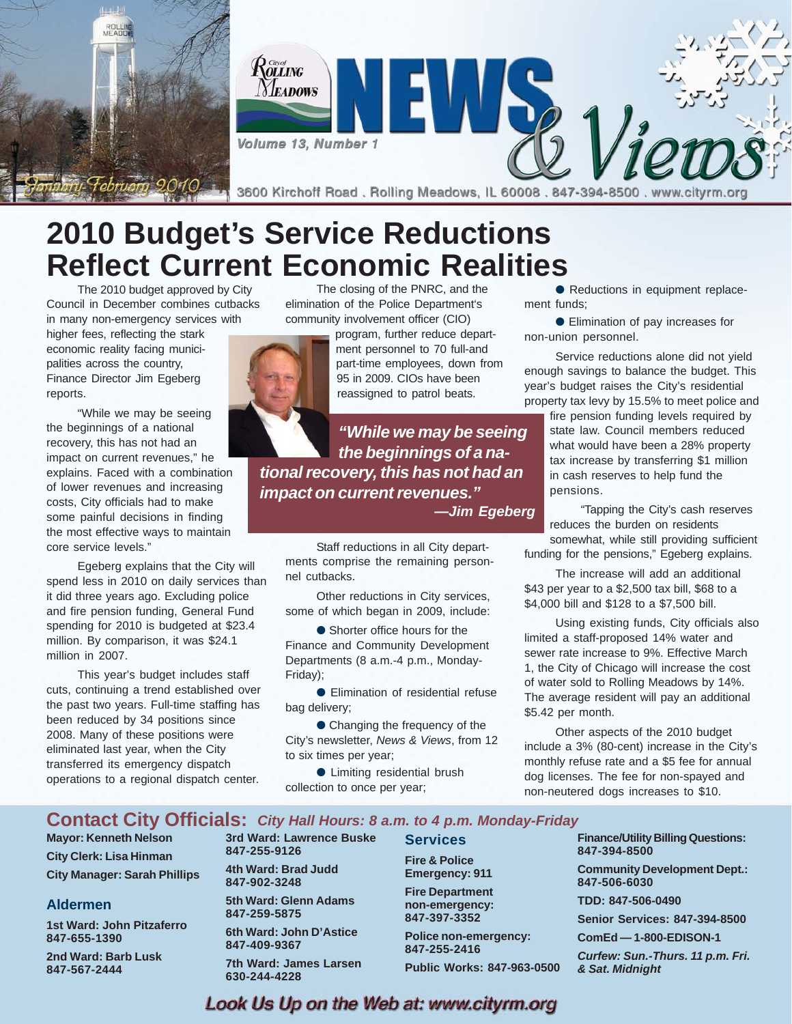

**2010 Budget's Service Reductions Reflect Current Economic Realities**

The 2010 budget approved by City Council in December combines cutbacks in many non-emergency services with

higher fees, reflecting the stark economic reality facing municipalities across the country, Finance Director Jim Egeberg reports.

"While we may be seeing the beginnings of a national recovery, this has not had an impact on current revenues," he explains. Faced with a combination of lower revenues and increasing costs, City officials had to make some painful decisions in finding the most effective ways to maintain core service levels."

Egeberg explains that the City will spend less in 2010 on daily services than it did three years ago. Excluding police and fire pension funding, General Fund spending for 2010 is budgeted at \$23.4 million. By comparison, it was \$24.1 million in 2007.

This year's budget includes staff cuts, continuing a trend established over the past two years. Full-time staffing has been reduced by 34 positions since 2008. Many of these positions were eliminated last year, when the City transferred its emergency dispatch operations to a regional dispatch center.

The closing of the PNRC, and the elimination of the Police Department's community involvement officer (CIO)

> program, further reduce department personnel to 70 full-and part-time employees, down from 95 in 2009. CIOs have been reassigned to patrol beats.

*"While we may be seeing the beginnings of a national recovery, this has not had an impact on current revenues."*

*—Jim Egeberg*

Staff reductions in all City departments comprise the remaining personnel cutbacks.

Other reductions in City services, some of which began in 2009, include:

● Shorter office hours for the Finance and Community Development Departments (8 a.m.-4 p.m., Monday-Friday);

● Elimination of residential refuse bag delivery;

● Changing the frequency of the City's newsletter, *News & Views*, from 12 to six times per year;

● Limiting residential brush collection to once per year;

● Reductions in equipment replacement funds;

● Elimination of pay increases for non-union personnel.

Service reductions alone did not yield enough savings to balance the budget. This year's budget raises the City's residential property tax levy by 15.5% to meet police and

> fire pension funding levels required by state law. Council members reduced what would have been a 28% property tax increase by transferring \$1 million in cash reserves to help fund the pensions.

"Tapping the City's cash reserves reduces the burden on residents

somewhat, while still providing sufficient funding for the pensions," Egeberg explains.

The increase will add an additional \$43 per year to a \$2,500 tax bill, \$68 to a \$4,000 bill and \$128 to a \$7,500 bill.

Using existing funds, City officials also limited a staff-proposed 14% water and sewer rate increase to 9%. Effective March 1, the City of Chicago will increase the cost of water sold to Rolling Meadows by 14%. The average resident will pay an additional \$5.42 per month.

Other aspects of the 2010 budget include a 3% (80-cent) increase in the City's monthly refuse rate and a \$5 fee for annual dog licenses. The fee for non-spayed and non-neutered dogs increases to \$10.

### **Contact City Officials:** *City Hall Hours: 8 a.m. to 4 p.m. Monday-Friday*

**Mayor: Kenneth Nelson City Clerk: Lisa Hinman City Manager: Sarah Phillips**

### **Aldermen**

**1st Ward: John Pitzaferro 847-655-1390**

**2nd Ward: Barb Lusk 847-567-2444**

**3rd Ward: Lawrence Buske 847-255-9126**

**4th Ward: Brad Judd 847-902-3248**

**5th Ward: Glenn Adams 847-259-5875 6th Ward: John D'Astice**

**847-409-9367 7th Ward: James Larsen**

**630-244-4228**

**Services Fire & Police Emergency: 911**

**Fire Department non-emergency: 847-397-3352**

**Police non-emergency: 847-255-2416 Public Works: 847-963-0500**

**Finance/Utility Billing Questions: 847-394-8500**

**Community Development Dept.: 847-506-6030**

**TDD: 847-506-0490**

**Senior Services: 847-394-8500**

**ComEd — 1-800-EDISON-1**

*Curfew: Sun.-Thurs. 11 p.m. Fri. & Sat. Midnight*

### Look Us Up on the Web at: www.cityrm.org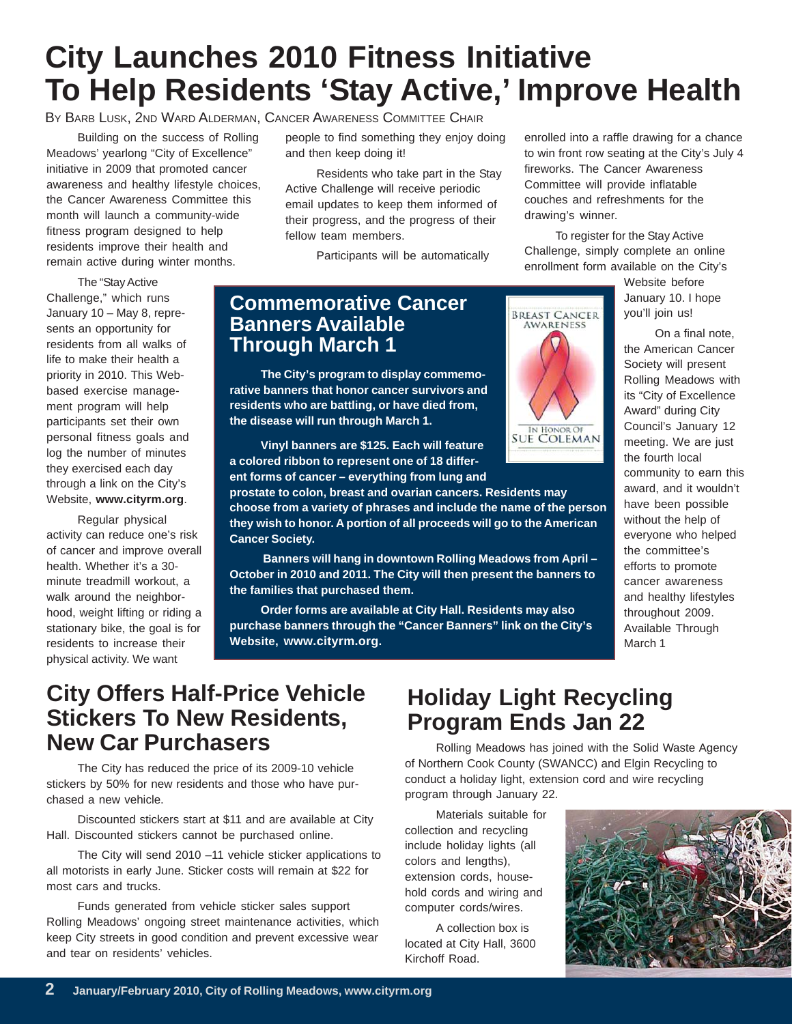# **City Launches 2010 Fitness Initiative To Help Residents 'Stay Active,' Improve Health**

BY BARB LUSK, 2ND WARD ALDERMAN, CANCER AWARENESS COMMITTEE CHAIR

Building on the success of Rolling Meadows' yearlong "City of Excellence" initiative in 2009 that promoted cancer awareness and healthy lifestyle choices, the Cancer Awareness Committee this month will launch a community-wide fitness program designed to help residents improve their health and remain active during winter months.

The "Stay Active Challenge," which runs January 10 – May 8, represents an opportunity for residents from all walks of life to make their health a priority in 2010. This Webbased exercise management program will help participants set their own personal fitness goals and log the number of minutes they exercised each day through a link on the City's Website, **www.cityrm.org**.

Regular physical activity can reduce one's risk of cancer and improve overall health. Whether it's a 30 minute treadmill workout, a walk around the neighborhood, weight lifting or riding a stationary bike, the goal is for residents to increase their physical activity. We want

people to find something they enjoy doing and then keep doing it!

Residents who take part in the Stay Active Challenge will receive periodic email updates to keep them informed of their progress, and the progress of their fellow team members.

Participants will be automatically

**Commemorative Cancer Banners Available Through March 1**

**The City's program to display commemorative banners that honor cancer survivors and residents who are battling, or have died from, the disease will run through March 1.**

**Vinyl banners are \$125. Each will feature a colored ribbon to represent one of 18 different forms of cancer – everything from lung and**

**prostate to colon, breast and ovarian cancers. Residents may choose from a variety of phrases and include the name of the person they wish to honor. A portion of all proceeds will go to the American Cancer Society.**

 **Banners will hang in downtown Rolling Meadows from April – October in 2010 and 2011. The City will then present the banners to the families that purchased them.**

**Order forms are available at City Hall. Residents may also purchase banners through the "Cancer Banners" link on the City's Website, www.cityrm.org.**



fireworks. The Cancer Awareness Committee will provide inflatable couches and refreshments for the drawing's winner. To register for the Stay Active Challenge, simply complete an online enrollment form available on the City's

enrolled into a raffle drawing for a chance to win front row seating at the City's July 4

> Website before January 10. I hope you'll join us!

On a final note, the American Cancer Society will present Rolling Meadows with its "City of Excellence Award" during City Council's January 12 meeting. We are just the fourth local community to earn this award, and it wouldn't have been possible without the help of everyone who helped the committee's efforts to promote cancer awareness and healthy lifestyles throughout 2009. Available Through March 1

### **City Offers Half-Price Vehicle Stickers To New Residents, New Car Purchasers**

The City has reduced the price of its 2009-10 vehicle stickers by 50% for new residents and those who have purchased a new vehicle.

Discounted stickers start at \$11 and are available at City Hall. Discounted stickers cannot be purchased online.

The City will send 2010 –11 vehicle sticker applications to all motorists in early June. Sticker costs will remain at \$22 for most cars and trucks.

Funds generated from vehicle sticker sales support Rolling Meadows' ongoing street maintenance activities, which keep City streets in good condition and prevent excessive wear and tear on residents' vehicles.

## **Holiday Light Recycling Program Ends Jan 22**

Rolling Meadows has joined with the Solid Waste Agency of Northern Cook County (SWANCC) and Elgin Recycling to conduct a holiday light, extension cord and wire recycling program through January 22.

Materials suitable for collection and recycling include holiday lights (all colors and lengths), extension cords, household cords and wiring and computer cords/wires.

A collection box is located at City Hall, 3600 Kirchoff Road.

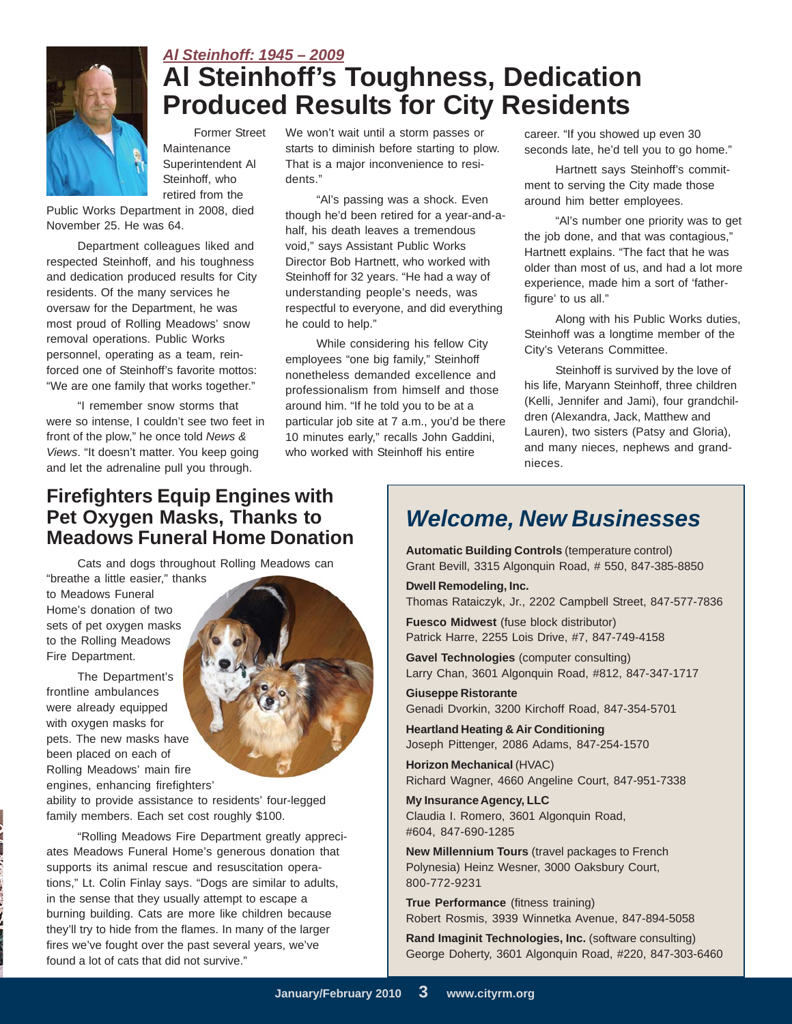

### *Al Steinhoff: 1945 – 2009* **Al Steinhoff's Toughness, Dedication Produced Results for City Residents**

Former Street **Maintenance** Superintendent Al Steinhoff, who retired from the

Public Works Department in 2008, died November 25. He was 64.

Department colleagues liked and respected Steinhoff, and his toughness and dedication produced results for City residents. Of the many services he oversaw for the Department, he was most proud of Rolling Meadows' snow removal operations. Public Works personnel, operating as a team, reinforced one of Steinhoff's favorite mottos: "We are one family that works together."

"I remember snow storms that were so intense, I couldn't see two feet in front of the plow," he once told *News & Views*. "It doesn't matter. You keep going and let the adrenaline pull you through.

We won't wait until a storm passes or starts to diminish before starting to plow. That is a major inconvenience to residents."

"Al's passing was a shock. Even though he'd been retired for a year-and-ahalf, his death leaves a tremendous void," says Assistant Public Works Director Bob Hartnett, who worked with Steinhoff for 32 years. "He had a way of understanding people's needs, was respectful to everyone, and did everything he could to help."

While considering his fellow City employees "one big family," Steinhoff nonetheless demanded excellence and professionalism from himself and those around him. "If he told you to be at a particular job site at 7 a.m., you'd be there 10 minutes early," recalls John Gaddini, who worked with Steinhoff his entire

career. "If you showed up even 30 seconds late, he'd tell you to go home."

Hartnett says Steinhoff's commitment to serving the City made those around him better employees.

"Al's number one priority was to get the job done, and that was contagious," Hartnett explains. "The fact that he was older than most of us, and had a lot more experience, made him a sort of 'fatherfigure' to us all."

Along with his Public Works duties, Steinhoff was a longtime member of the City's Veterans Committee.

Steinhoff is survived by the love of his life, Maryann Steinhoff, three children (Kelli, Jennifer and Jami), four grandchildren (Alexandra, Jack, Matthew and Lauren), two sisters (Patsy and Gloria), and many nieces, nephews and grandnieces.

### **Firefighters Equip Engines with Pet Oxygen Masks, Thanks to Meadows Funeral Home Donation** *Welcome, New Businesses*

Cats and dogs throughout Rolling Meadows can "breathe a little easier," thanks

to Meadows Funeral Home's donation of two sets of pet oxygen masks to the Rolling Meadows Fire Department.

The Department's frontline ambulances were already equipped with oxygen masks for pets. The new masks have been placed on each of Rolling Meadows' main fire engines, enhancing firefighters'

ability to provide assistance to residents' four-legged family members. Each set cost roughly \$100.

"Rolling Meadows Fire Department greatly appreciates Meadows Funeral Home's generous donation that supports its animal rescue and resuscitation operations," Lt. Colin Finlay says. "Dogs are similar to adults, in the sense that they usually attempt to escape a burning building. Cats are more like children because they'll try to hide from the flames. In many of the larger fires we've fought over the past several years, we've found a lot of cats that did not survive."

**Automatic Building Controls** (temperature control) Grant Bevill, 3315 Algonquin Road, # 550, 847-385-8850

**Dwell Remodeling, Inc.**

Thomas Rataiczyk, Jr., 2202 Campbell Street, 847-577-7836

**Fuesco Midwest** (fuse block distributor) Patrick Harre, 2255 Lois Drive, #7, 847-749-4158

**Gavel Technologies** (computer consulting) Larry Chan, 3601 Algonquin Road, #812, 847-347-1717

**Giuseppe Ristorante** Genadi Dvorkin, 3200 Kirchoff Road, 847-354-5701

**Heartland Heating & Air Conditioning** Joseph Pittenger, 2086 Adams, 847-254-1570

**Horizon Mechanical** (HVAC) Richard Wagner, 4660 Angeline Court, 847-951-7338

**My Insurance Agency, LLC** Claudia I. Romero, 3601 Algonquin Road, #604, 847-690-1285

**New Millennium Tours** (travel packages to French Polynesia) Heinz Wesner, 3000 Oaksbury Court, 800-772-9231

**True Performance** (fitness training) Robert Rosmis, 3939 Winnetka Avenue, 847-894-5058

**Rand Imaginit Technologies, Inc.** (software consulting) George Doherty, 3601 Algonquin Road, #220, 847-303-6460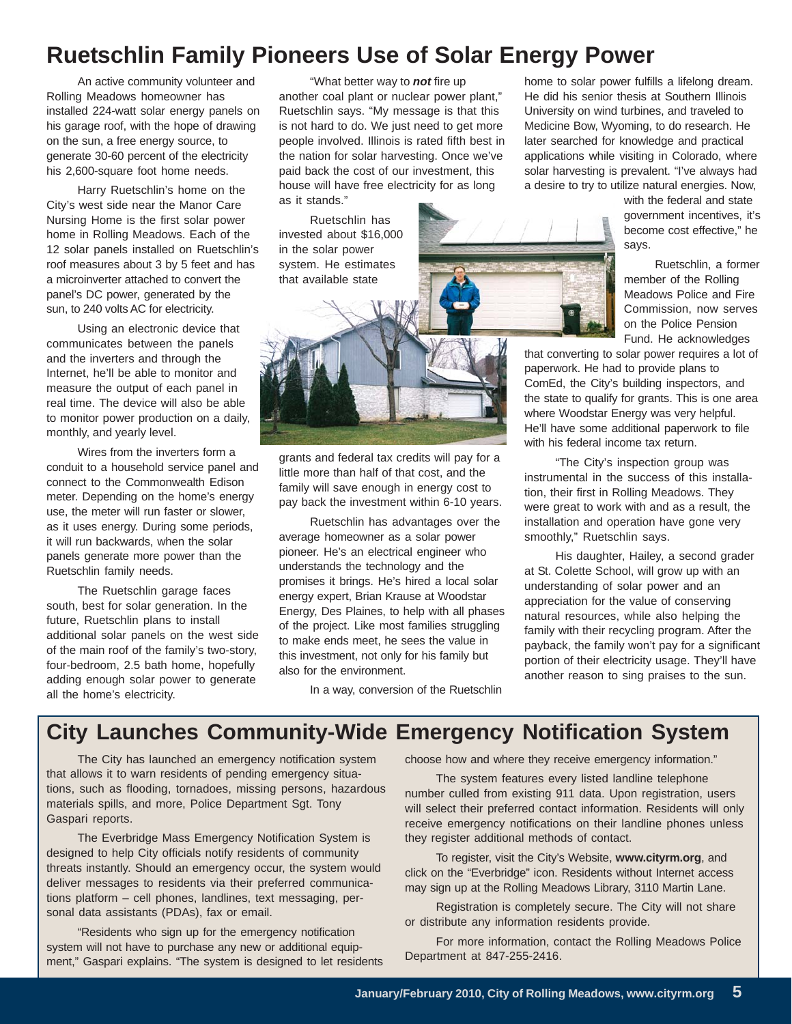## **Ruetschlin Family Pioneers Use of Solar Energy Power**

An active community volunteer and Rolling Meadows homeowner has installed 224-watt solar energy panels on his garage roof, with the hope of drawing on the sun, a free energy source, to generate 30-60 percent of the electricity his 2,600-square foot home needs.

Harry Ruetschlin's home on the City's west side near the Manor Care Nursing Home is the first solar power home in Rolling Meadows. Each of the 12 solar panels installed on Ruetschlin's roof measures about 3 by 5 feet and has a microinverter attached to convert the panel's DC power, generated by the sun, to 240 volts AC for electricity.

Using an electronic device that communicates between the panels and the inverters and through the Internet, he'll be able to monitor and measure the output of each panel in real time. The device will also be able to monitor power production on a daily, monthly, and yearly level.

Wires from the inverters form a conduit to a household service panel and connect to the Commonwealth Edison meter. Depending on the home's energy use, the meter will run faster or slower, as it uses energy. During some periods, it will run backwards, when the solar panels generate more power than the Ruetschlin family needs.

The Ruetschlin garage faces south, best for solar generation. In the future, Ruetschlin plans to install additional solar panels on the west side of the main roof of the family's two-story, four-bedroom, 2.5 bath home, hopefully adding enough solar power to generate all the home's electricity.

"What better way to *not* fire up another coal plant or nuclear power plant," Ruetschlin says. "My message is that this is not hard to do. We just need to get more people involved. Illinois is rated fifth best in the nation for solar harvesting. Once we've paid back the cost of our investment, this house will have free electricity for as long as it stands."

Ruetschlin has invested about \$16,000 in the solar power system. He estimates that available state



home to solar power fulfills a lifelong dream. He did his senior thesis at Southern Illinois University on wind turbines, and traveled to Medicine Bow, Wyoming, to do research. He later searched for knowledge and practical applications while visiting in Colorado, where solar harvesting is prevalent. "I've always had a desire to try to utilize natural energies. Now,

> with the federal and state government incentives, it's become cost effective," he says.

> Ruetschlin, a former member of the Rolling Meadows Police and Fire Commission, now serves on the Police Pension Fund. He acknowledges

that converting to solar power requires a lot of paperwork. He had to provide plans to ComEd, the City's building inspectors, and the state to qualify for grants. This is one area where Woodstar Energy was very helpful. He'll have some additional paperwork to file with his federal income tax return.

"The City's inspection group was instrumental in the success of this installation, their first in Rolling Meadows. They were great to work with and as a result, the installation and operation have gone very smoothly," Ruetschlin says.

His daughter, Hailey, a second grader at St. Colette School, will grow up with an understanding of solar power and an appreciation for the value of conserving natural resources, while also helping the family with their recycling program. After the payback, the family won't pay for a significant portion of their electricity usage. They'll have another reason to sing praises to the sun.

In a way, conversion of the Ruetschlin

### **City Launches Community-Wide Emergency Notification System**

also for the environment.

grants and federal tax credits will pay for a little more than half of that cost, and the family will save enough in energy cost to pay back the investment within 6-10 years. Ruetschlin has advantages over the

average homeowner as a solar power pioneer. He's an electrical engineer who understands the technology and the promises it brings. He's hired a local solar energy expert, Brian Krause at Woodstar Energy, Des Plaines, to help with all phases of the project. Like most families struggling to make ends meet, he sees the value in this investment, not only for his family but

The City has launched an emergency notification system that allows it to warn residents of pending emergency situations, such as flooding, tornadoes, missing persons, hazardous materials spills, and more, Police Department Sgt. Tony Gaspari reports.

The Everbridge Mass Emergency Notification System is designed to help City officials notify residents of community threats instantly. Should an emergency occur, the system would deliver messages to residents via their preferred communications platform – cell phones, landlines, text messaging, personal data assistants (PDAs), fax or email.

"Residents who sign up for the emergency notification system will not have to purchase any new or additional equipment," Gaspari explains. "The system is designed to let residents choose how and where they receive emergency information."

The system features every listed landline telephone number culled from existing 911 data. Upon registration, users will select their preferred contact information. Residents will only receive emergency notifications on their landline phones unless they register additional methods of contact.

To register, visit the City's Website, **www.cityrm.org**, and click on the "Everbridge" icon. Residents without Internet access may sign up at the Rolling Meadows Library, 3110 Martin Lane.

Registration is completely secure. The City will not share or distribute any information residents provide.

For more information, contact the Rolling Meadows Police Department at 847-255-2416.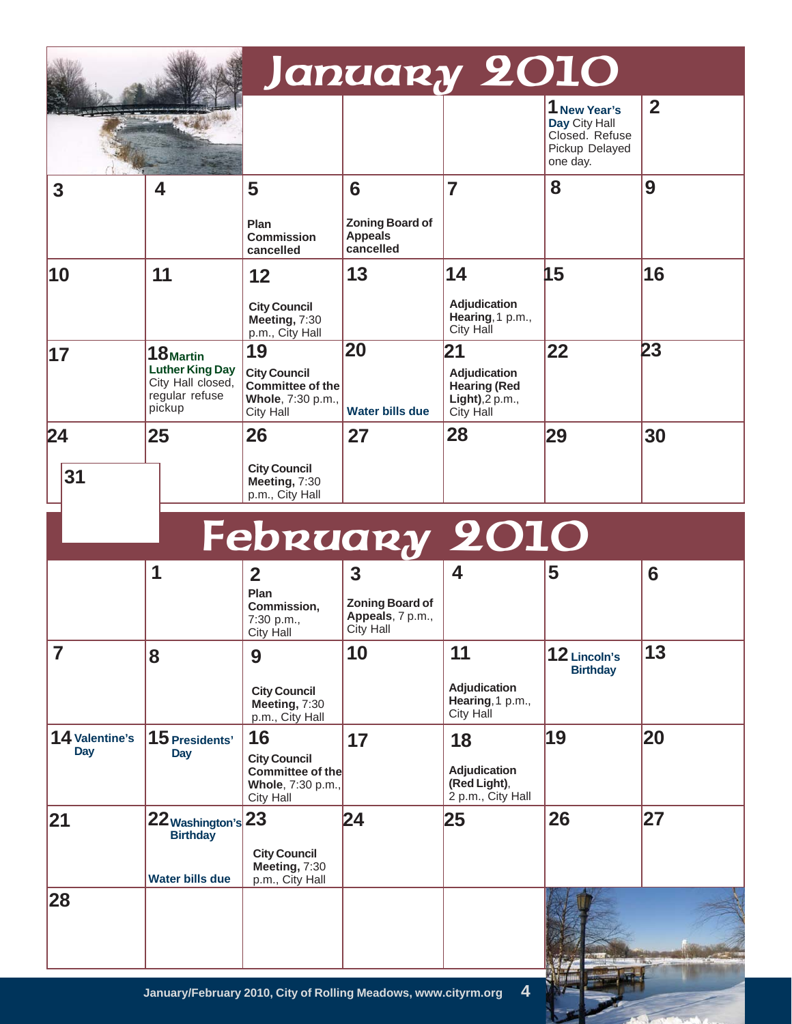|                              |                                                                                      | January 2010                                                                    |                                                              |                                                                             |                                                                               |                |
|------------------------------|--------------------------------------------------------------------------------------|---------------------------------------------------------------------------------|--------------------------------------------------------------|-----------------------------------------------------------------------------|-------------------------------------------------------------------------------|----------------|
|                              |                                                                                      |                                                                                 |                                                              |                                                                             | 1 New Year's<br>Day City Hall<br>Closed. Refuse<br>Pickup Delayed<br>one day. | $\overline{2}$ |
| 3                            | 4                                                                                    | 5<br>Plan<br><b>Commission</b><br>cancelled                                     | 6<br><b>Zoning Board of</b><br><b>Appeals</b><br>cancelled   | 7                                                                           | 8                                                                             | 9              |
| 10                           | 11                                                                                   | 12<br><b>City Council</b><br>Meeting, 7:30<br>p.m., City Hall                   | 13                                                           | 14<br>Adjudication<br>Hearing, 1 p.m.,<br>City Hall                         | 15                                                                            | 16             |
| 17                           | 18 Martin<br><b>Luther King Day</b><br>City Hall closed,<br>regular refuse<br>pickup | 19<br><b>City Council</b><br>Committee of the<br>Whole, 7:30 p.m.,<br>City Hall | 20<br><b>Water bills due</b>                                 | 21<br>Adjudication<br><b>Hearing (Red</b><br>$Light$ , 2 p.m.,<br>City Hall | 22                                                                            | 23             |
| 24                           | 25                                                                                   | 26                                                                              | 27                                                           | 28                                                                          | 29                                                                            | 30             |
| 31                           |                                                                                      | <b>City Council</b><br>Meeting, 7:30<br>p.m., City Hall                         |                                                              |                                                                             |                                                                               |                |
|                              |                                                                                      |                                                                                 |                                                              | February 2010                                                               |                                                                               |                |
|                              | 1                                                                                    | $\overline{2}$<br>Plan<br>Commission,<br>7:30 p.m.,<br>City Hall                | 3<br><b>Zoning Board of</b><br>Appeals, 7 p.m.,<br>City Hall | 4                                                                           | 5                                                                             | 6              |
| 7                            | 8                                                                                    | 9<br><b>City Council</b><br>Meeting, 7:30<br>p.m., City Hall                    | 10                                                           | 11<br>Adjudication<br>Hearing, 1 p.m.,<br>City Hall                         | 12 Lincoln's<br><b>Birthday</b>                                               | 13             |
| 14 Valentine's<br><b>Day</b> | 15 Presidents'<br>Day                                                                | 16<br><b>City Council</b><br>Committee of the<br>Whole, 7:30 p.m.,<br>City Hall | 17                                                           | 18<br>Adjudication<br>(Red Light),<br>2 p.m., City Hall                     | 19                                                                            | 20             |
| 21                           | 22 Washington's 23<br><b>Birthday</b><br><b>Water bills due</b>                      | <b>City Council</b><br>Meeting, 7:30<br>p.m., City Hall                         | 24                                                           | 25                                                                          | 26                                                                            | 27             |
| 28                           |                                                                                      |                                                                                 |                                                              |                                                                             |                                                                               |                |